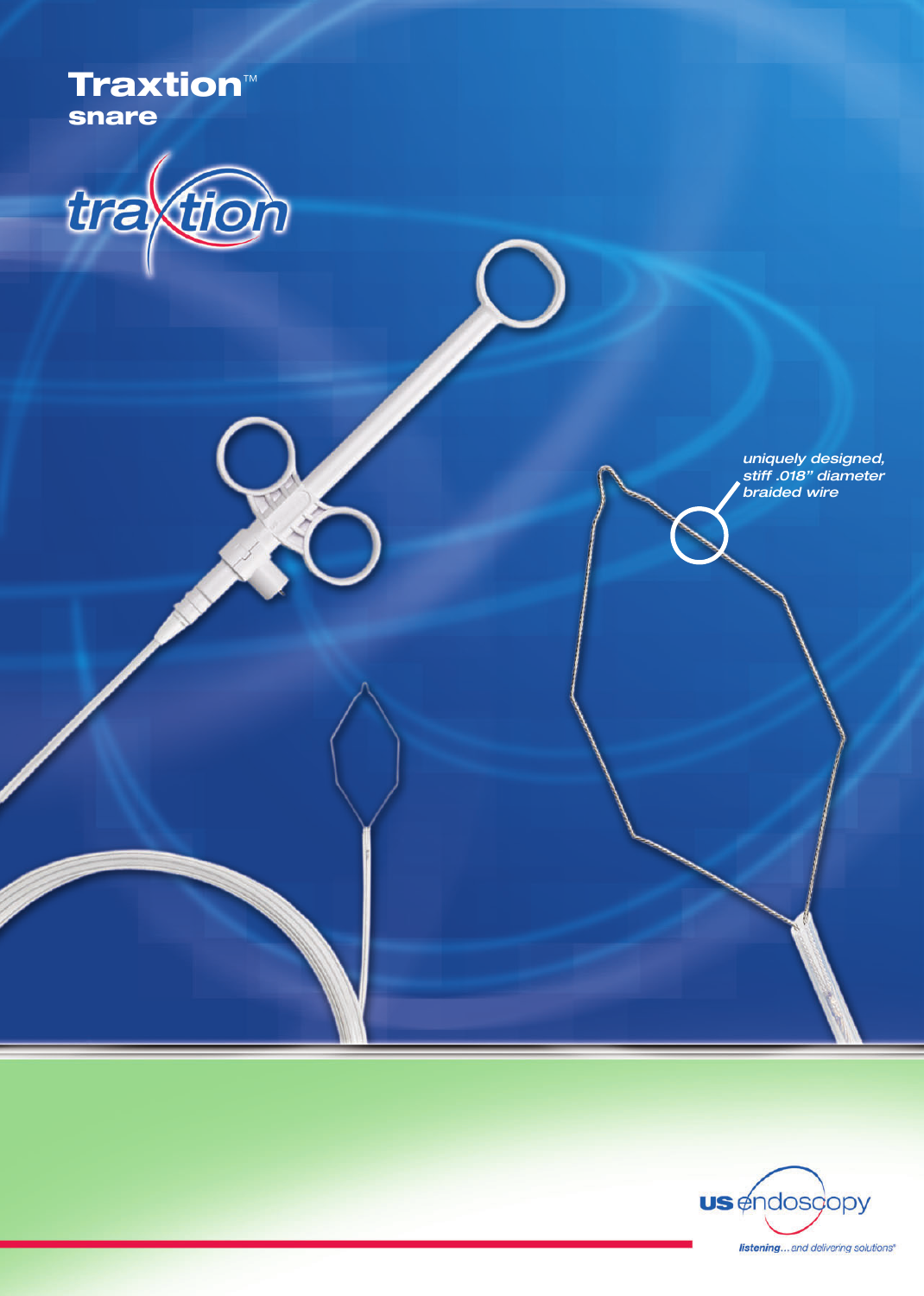Traxtion™ snare

the J D

*uniquely designed, stiff .018" diameter braided wire*